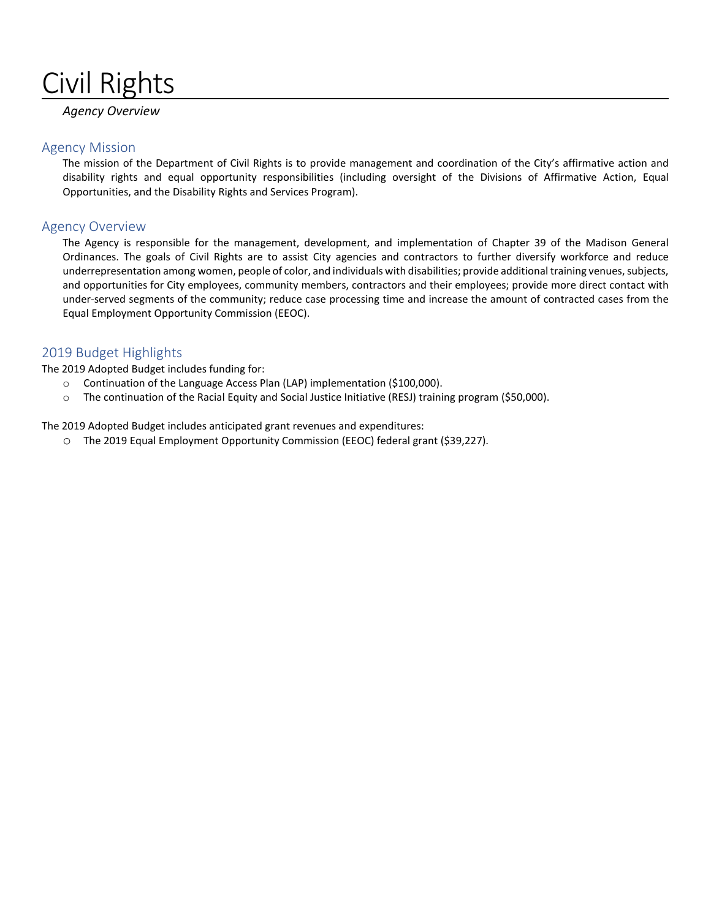# Civil Rights

*Agency Overview*

## Agency Mission

The mission of the Department of Civil Rights is to provide management and coordination of the City's affirmative action and disability rights and equal opportunity responsibilities (including oversight of the Divisions of Affirmative Action, Equal Opportunities, and the Disability Rights and Services Program).

# Agency Overview

The Agency is responsible for the management, development, and implementation of Chapter 39 of the Madison General Ordinances. The goals of Civil Rights are to assist City agencies and contractors to further diversify workforce and reduce underrepresentation among women, people of color, and individuals with disabilities; provide additional training venues, subjects, and opportunities for City employees, community members, contractors and their employees; provide more direct contact with under-served segments of the community; reduce case processing time and increase the amount of contracted cases from the Equal Employment Opportunity Commission (EEOC).

# 2019 Budget Highlights

The 2019 Adopted Budget includes funding for:

- o Continuation of the Language Access Plan (LAP) implementation (\$100,000).
- o The continuation of the Racial Equity and Social Justice Initiative (RESJ) training program (\$50,000).

The 2019 Adopted Budget includes anticipated grant revenues and expenditures:

o The 2019 Equal Employment Opportunity Commission (EEOC) federal grant (\$39,227).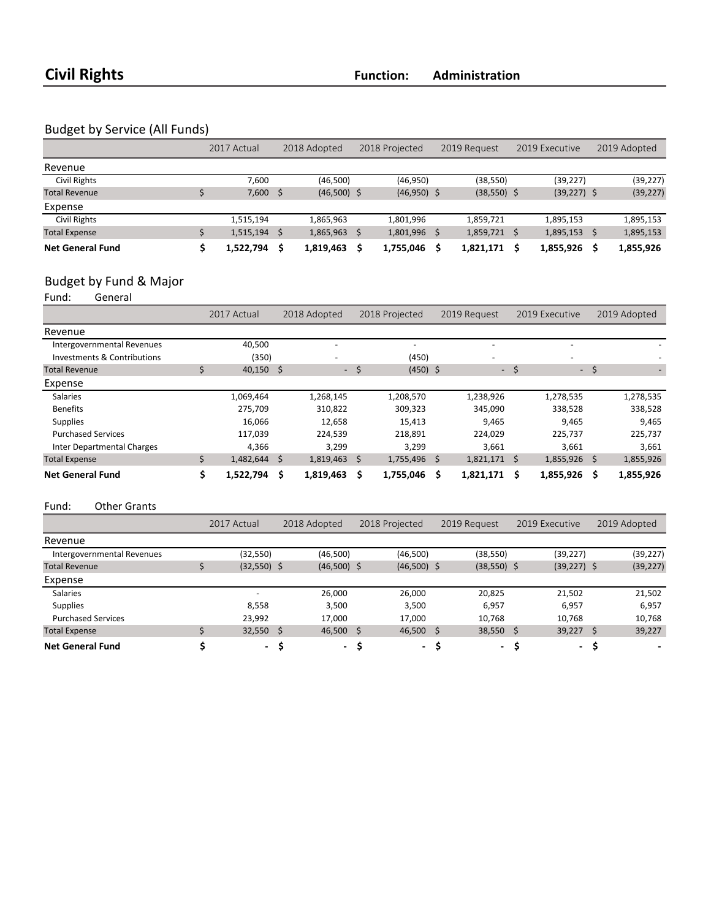# Budget by Service (All Funds)

|                         | 2017 Actual |    | 2018 Adopted  |   | 2018 Projected |  | 2019 Request  |      | 2019 Executive |    | 2019 Adopted |  |
|-------------------------|-------------|----|---------------|---|----------------|--|---------------|------|----------------|----|--------------|--|
| Revenue                 |             |    |               |   |                |  |               |      |                |    |              |  |
| <b>Civil Rights</b>     | 7,600       |    | (46,500)      |   | (46, 950)      |  | (38, 550)     |      | (39, 227)      |    | (39, 227)    |  |
| <b>Total Revenue</b>    | $7,600$ \$  |    | $(46,500)$ \$ |   | $(46,950)$ \$  |  | $(38,550)$ \$ |      | $(39,227)$ \$  |    | (39, 227)    |  |
| Expense                 |             |    |               |   |                |  |               |      |                |    |              |  |
| <b>Civil Rights</b>     | 1,515,194   |    | 1,865,963     |   | 1,801,996      |  | 1,859,721     |      | 1,895,153      |    | 1,895,153    |  |
| <b>Total Expense</b>    | 1,515,194   |    | 1,865,963     |   | 1,801,996      |  | 1,859,721     | - \$ | 1,895,153      |    | 1,895,153    |  |
| <b>Net General Fund</b> | 1,522,794   | -S | 1,819,463     | Ś | 1,755,046      |  | 1,821,171     |      | 1,855,926      | Ś. | 1,855,926    |  |

# Budget by Fund & Major<br>Fund: General

General

|                                   | 2017 Actual |      | 2018 Adopted<br>2018 Projected |      | 2019 Request |    | 2019 Executive           |    | 2019 Adopted             |         |           |
|-----------------------------------|-------------|------|--------------------------------|------|--------------|----|--------------------------|----|--------------------------|---------|-----------|
| Revenue                           |             |      |                                |      |              |    |                          |    |                          |         |           |
| Intergovernmental Revenues        | 40,500      |      |                                |      | ٠            |    |                          |    | $\overline{\phantom{0}}$ |         |           |
| Investments & Contributions       | (350)       |      | -                              |      | (450)        |    | $\overline{\phantom{0}}$ |    | $\overline{\phantom{0}}$ |         |           |
| <b>Total Revenue</b>              | $40,150$ \$ |      |                                | - \$ | $(450)$ \$   |    | $\sim$                   | -S | $\sim$ $-$               | $\zeta$ |           |
| Expense                           |             |      |                                |      |              |    |                          |    |                          |         |           |
| <b>Salaries</b>                   | 1,069,464   |      | 1,268,145                      |      | 1,208,570    |    | 1,238,926                |    | 1,278,535                |         | 1,278,535 |
| <b>Benefits</b>                   | 275.709     |      | 310,822                        |      | 309,323      |    | 345,090                  |    | 338,528                  |         | 338,528   |
| <b>Supplies</b>                   | 16,066      |      | 12,658                         |      | 15,413       |    | 9,465                    |    | 9,465                    |         | 9,465     |
| <b>Purchased Services</b>         | 117,039     |      | 224,539                        |      | 218,891      |    | 224,029                  |    | 225,737                  |         | 225,737   |
| <b>Inter Departmental Charges</b> | 4,366       |      | 3,299                          |      | 3,299        |    | 3,661                    |    | 3,661                    |         | 3,661     |
| <b>Total Expense</b>              | 1,482,644   | - \$ | 1,819,463                      | Ŝ    | 1,755,496    | Ŝ. | $1,821,171$ \$           |    | 1,855,926                | \$      | 1,855,926 |
| <b>Net General Fund</b>           | 1,522,794   | -S   | 1,819,463                      | \$.  | 1.755.046    | Ś  | 1,821,171                | s  | 1,855,926                | Ś       | 1,855,926 |

### Fund: Other Grants

|                            | 2017 Actual              | 2018 Adopted  | 2018 Projected | 2019 Request      | 2019 Executive | 2019 Adopted |  |
|----------------------------|--------------------------|---------------|----------------|-------------------|----------------|--------------|--|
| Revenue                    |                          |               |                |                   |                |              |  |
| Intergovernmental Revenues | (32, 550)                | (46,500)      | (46,500)       | (38, 550)         | (39, 227)      | (39, 227)    |  |
| <b>Total Revenue</b>       | $(32,550)$ \$            | $(46,500)$ \$ | $(46,500)$ \$  | $(38,550)$ \$     | $(39, 227)$ \$ | (39, 227)    |  |
| Expense                    |                          |               |                |                   |                |              |  |
| <b>Salaries</b>            | $\overline{\phantom{0}}$ | 26,000        | 26,000         | 20,825            | 21,502         | 21,502       |  |
| <b>Supplies</b>            | 8.558                    | 3,500         | 3.500          | 6.957             | 6,957          | 6,957        |  |
| <b>Purchased Services</b>  | 23.992                   | 17.000        | 17.000         | 10.768            | 10,768         | 10,768       |  |
| <b>Total Expense</b>       | $32,550$ \$              | $46,500$ \$   | 46,500         | $38,550$ \$<br>-Ś | 39,227         | 39,227<br>S. |  |
| <b>Net General Fund</b>    | - S                      | - S           |                | - S<br>$\sim$     | - S            |              |  |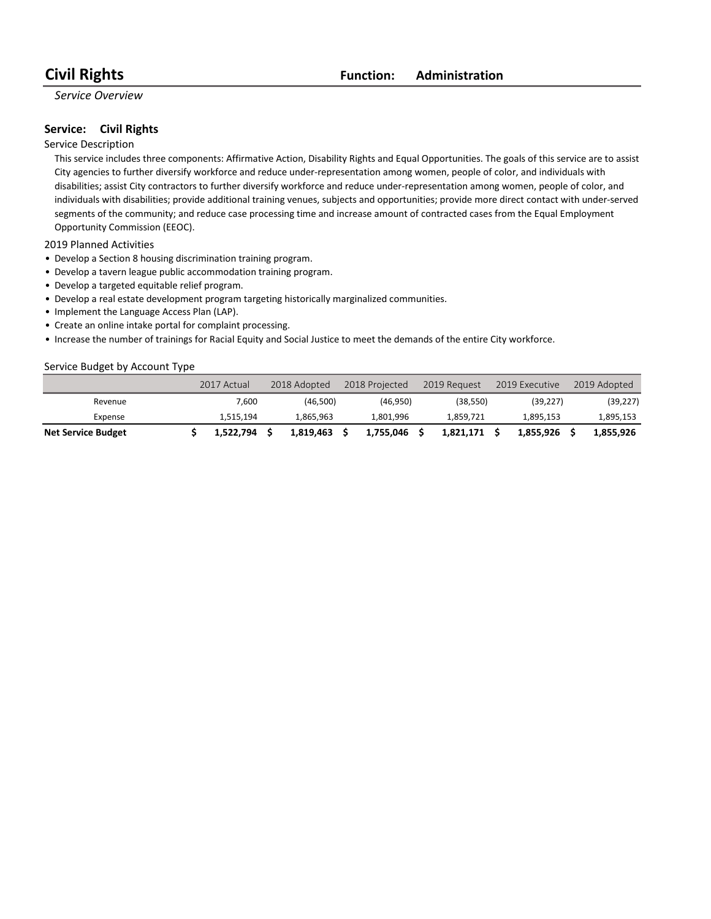# **Civil Rights Function: Administration**

*Service Overview*

### **Service:** Civil Rights

#### Service Description

This service includes three components: Affirmative Action, Disability Rights and Equal Opportunities. The goals of this service are to assist City agencies to further diversify workforce and reduce under-representation among women, people of color, and individuals with disabilities; assist City contractors to further diversify workforce and reduce under-representation among women, people of color, and individuals with disabilities; provide additional training venues, subjects and opportunities; provide more direct contact with under-served segments of the community; and reduce case processing time and increase amount of contracted cases from the Equal Employment Opportunity Commission (EEOC).

2019 Planned Activities

- Develop a Section 8 housing discrimination training program.
- Develop a tavern league public accommodation training program.
- Develop a targeted equitable relief program.
- Develop a real estate development program targeting historically marginalized communities.
- Implement the Language Access Plan (LAP).
- Create an online intake portal for complaint processing.
- Increase the number of trainings for Racial Equity and Social Justice to meet the demands of the entire City workforce.

#### Service Budget by Account Type

|                           | 2017 Actual | 2018 Adopted | 2018 Projected | 2019 Request | 2019 Executive | 2019 Adopted |
|---------------------------|-------------|--------------|----------------|--------------|----------------|--------------|
| Revenue                   | 7.600       | (46.500)     | (46.950)       | (38, 550)    | (39, 227)      | (39, 227)    |
| Expense                   | 1.515.194   | 1.865.963    | 1.801.996      | 1.859.721    | 1.895.153      | 1,895,153    |
| <b>Net Service Budget</b> | 1,522,794   | 1.819.463    | 1.755.046      | 1.821.171    | 1.855.926      | 1.855.926    |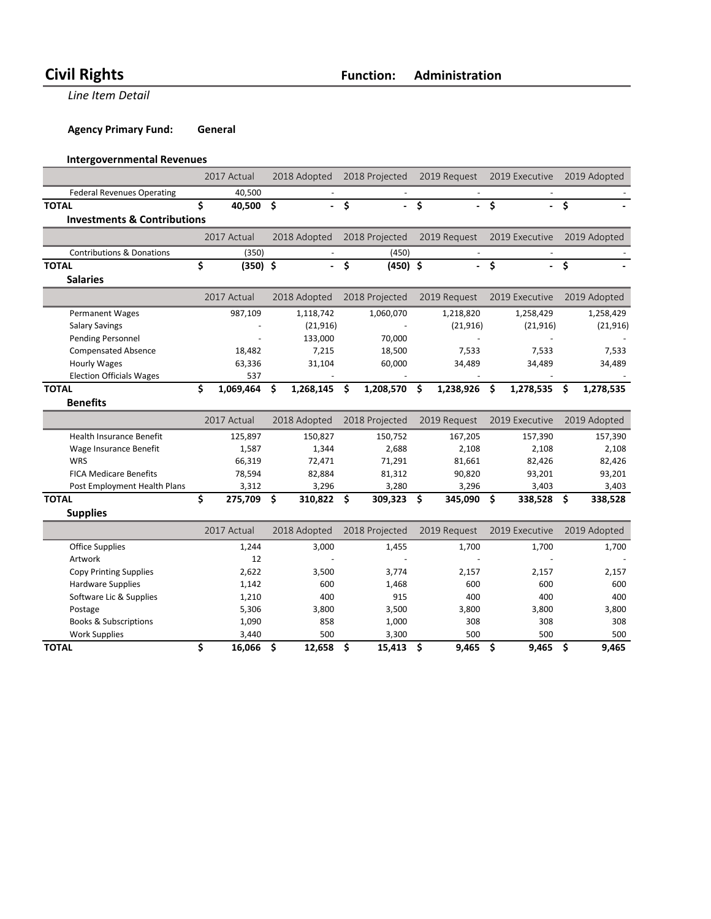**Line Item Detail** 

**Agency Primary Fund: General** 

### **Intergovernmental Revenues**

|                                        | 2017 Actual      |              | 2018 Adopted   |                | 2018 Projected           |     | 2019 Request   |                | 2019 Executive |     | 2019 Adopted |
|----------------------------------------|------------------|--------------|----------------|----------------|--------------------------|-----|----------------|----------------|----------------|-----|--------------|
| <b>Federal Revenues Operating</b>      | 40,500           |              |                |                |                          |     |                |                |                |     |              |
| <b>TOTAL</b>                           | \$<br>40,500     | \$           |                | \$             | $\overline{\phantom{0}}$ | \$  | $\blacksquare$ | \$             | $\blacksquare$ | Ŝ.  |              |
| <b>Investments &amp; Contributions</b> |                  |              |                |                |                          |     |                |                |                |     |              |
|                                        | 2017 Actual      |              | 2018 Adopted   |                | 2018 Projected           |     | 2019 Request   |                | 2019 Executive |     | 2019 Adopted |
| <b>Contributions &amp; Donations</b>   | (350)            |              | $\blacksquare$ |                | (450)                    |     | $\blacksquare$ |                | $\overline{a}$ |     |              |
| <b>TOTAL</b>                           | \$<br>$(350)$ \$ |              | $\sim$         | \$             | $(450)$ \$               |     | $\blacksquare$ | \$             | $-\frac{1}{2}$ |     |              |
| <b>Salaries</b>                        |                  |              |                |                |                          |     |                |                |                |     |              |
|                                        | 2017 Actual      |              | 2018 Adopted   |                | 2018 Projected           |     | 2019 Request   |                | 2019 Executive |     | 2019 Adopted |
| <b>Permanent Wages</b>                 | 987,109          |              | 1,118,742      |                | 1,060,070                |     | 1,218,820      |                | 1,258,429      |     | 1,258,429    |
| <b>Salary Savings</b>                  |                  |              | (21, 916)      |                |                          |     | (21, 916)      |                | (21, 916)      |     | (21, 916)    |
| <b>Pending Personnel</b>               |                  |              | 133,000        |                | 70,000                   |     |                |                |                |     |              |
| <b>Compensated Absence</b>             | 18,482           |              | 7,215          |                | 18,500                   |     | 7,533          |                | 7,533          |     | 7,533        |
| <b>Hourly Wages</b>                    | 63,336           |              | 31,104         |                | 60,000                   |     | 34,489         |                | 34,489         |     | 34,489       |
| <b>Election Officials Wages</b>        | 537              |              |                |                |                          |     |                |                |                |     |              |
| <b>TOTAL</b>                           | \$<br>1,069,464  | Ś            | 1,268,145      | \$.            | 1,208,570                | \$. | 1,238,926      | \$             | 1,278,535      | \$. | 1,278,535    |
| <b>Benefits</b>                        |                  |              |                |                |                          |     |                |                |                |     |              |
|                                        | 2017 Actual      | 2018 Adopted |                | 2018 Projected |                          |     | 2019 Request   | 2019 Executive |                |     | 2019 Adopted |
| <b>Health Insurance Benefit</b>        | 125,897          |              | 150,827        |                | 150,752                  |     | 167,205        |                | 157,390        |     | 157,390      |
| Wage Insurance Benefit                 | 1,587            |              | 1,344          |                | 2,688                    |     | 2,108          |                | 2,108          |     | 2,108        |
| <b>WRS</b>                             | 66,319           |              | 72,471         |                | 71,291                   |     | 81,661         |                | 82,426         |     | 82,426       |
| <b>FICA Medicare Benefits</b>          | 78,594           |              | 82,884         |                | 81,312                   |     | 90,820         |                | 93,201         |     | 93,201       |
| Post Employment Health Plans           | 3,312            |              | 3,296          |                | 3,280                    |     | 3,296          |                | 3,403          |     | 3,403        |
| <b>TOTAL</b>                           | \$<br>275,709    | Ś            | 310,822        | Ŝ.             | 309,323                  | -\$ | 345,090        | Ś.             | 338,528        | \$  | 338,528      |
| <b>Supplies</b>                        |                  |              |                |                |                          |     |                |                |                |     |              |
|                                        | 2017 Actual      |              | 2018 Adopted   |                | 2018 Projected           |     | 2019 Request   |                | 2019 Executive |     | 2019 Adopted |
| <b>Office Supplies</b>                 | 1,244            |              | 3,000          |                | 1,455                    |     | 1,700          |                | 1,700          |     | 1,700        |
| Artwork                                | 12               |              |                |                |                          |     |                |                |                |     |              |
| <b>Copy Printing Supplies</b>          | 2,622            |              | 3,500          |                | 3,774                    |     | 2,157          |                | 2,157          |     | 2,157        |
| <b>Hardware Supplies</b>               | 1,142            |              | 600            |                | 1,468                    |     | 600            |                | 600            |     | 600          |
| Software Lic & Supplies                | 1,210            |              | 400            |                | 915                      |     | 400            |                | 400            |     | 400          |

Postage 3,300 3,800 3,800 3,800 3,800 3,800 3,800 3,800 3,800

**TOTAL \$ 16,066 \$ 12,658 \$ 15,413 \$ 9,465 \$ 9,465 \$ 9,465**

 Books & Subscriptions 1,090 858 1,000 308 308 308 Work Supplies **3,440** 500 3,300 500 500 500 500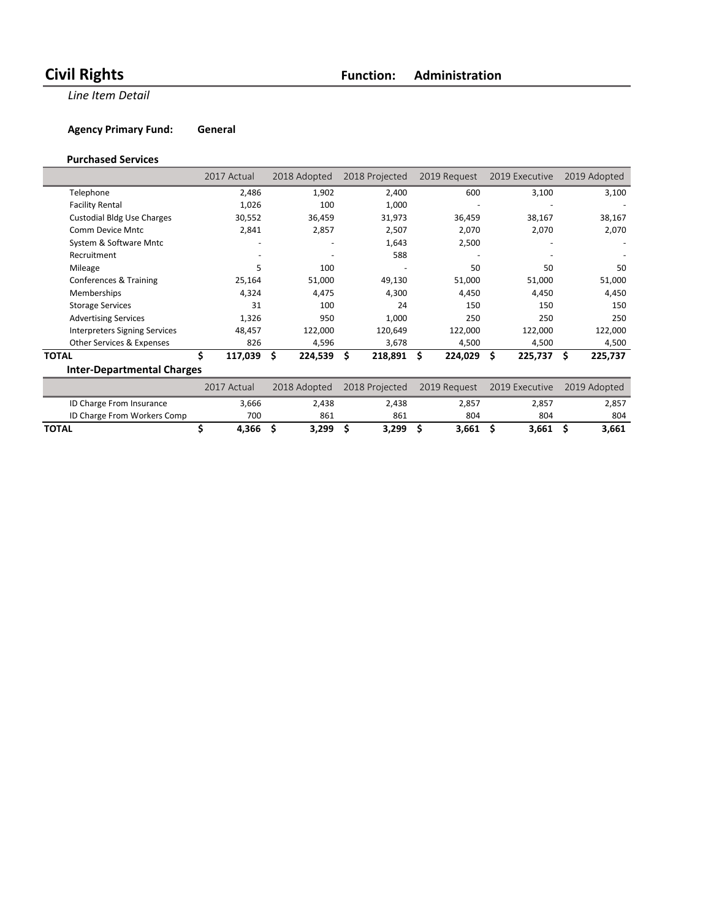**Line Item Detail** 

## **Agency Primary Fund: General**

### **Purchased Services**

|                                      | 2017 Actual | 2018 Adopted | 2018 Projected | 2019 Request  | 2019 Executive | 2019 Adopted |
|--------------------------------------|-------------|--------------|----------------|---------------|----------------|--------------|
| Telephone                            | 2,486       | 1,902        | 2,400          | 600           | 3,100          | 3,100        |
| <b>Facility Rental</b>               | 1,026       | 100          | 1,000          |               |                |              |
| <b>Custodial Bldg Use Charges</b>    | 30,552      | 36,459       | 31,973         | 36,459        | 38,167         | 38,167       |
| Comm Device Mntc                     | 2,841       | 2,857        | 2,507          | 2,070         | 2,070          | 2,070        |
| System & Software Mntc               |             |              | 1,643          | 2,500         |                |              |
| Recruitment                          |             |              | 588            |               |                |              |
| Mileage                              | 5           | 100          |                | 50            | 50             | 50           |
| Conferences & Training               | 25,164      | 51,000       | 49,130         | 51,000        | 51,000         | 51,000       |
| <b>Memberships</b>                   | 4,324       | 4,475        | 4,300          | 4,450         | 4,450          | 4,450        |
| <b>Storage Services</b>              | 31          | 100          | 24             | 150           | 150            | 150          |
| <b>Advertising Services</b>          | 1,326       | 950          | 1,000          | 250           | 250            | 250          |
| <b>Interpreters Signing Services</b> | 48,457      | 122,000      | 120,649        | 122,000       | 122,000        | 122,000      |
| Other Services & Expenses            | 826         | 4,596        | 3,678          | 4,500         | 4,500          | 4,500        |
| <b>TOTAL</b>                         | 117,039     | Ś<br>224,539 | 218,891<br>S   | 224,029<br>\$ | 225,737        | Ś<br>225,737 |
| <b>Inter-Departmental Charges</b>    |             |              |                |               |                |              |
|                                      | 2017 Actual | 2018 Adopted | 2018 Projected | 2019 Request  | 2019 Executive | 2019 Adopted |

|                             | 2017 Actual | 2018 Adopted | 2018 Projected |       | 2019 Request 2019 Executive | 2019 Adopted |
|-----------------------------|-------------|--------------|----------------|-------|-----------------------------|--------------|
| ID Charge From Insurance    | 3.666       | 2.438        | 2.438          | 2.857 | 2.857                       | 2,857        |
| ID Charge From Workers Comp | 700         | 861          | 861            | 804   | 804                         | 804          |
| <b>TOTAL</b>                | 4.366       | 3.299        | 3.299          | 3.661 | 3.661                       | 3.661        |